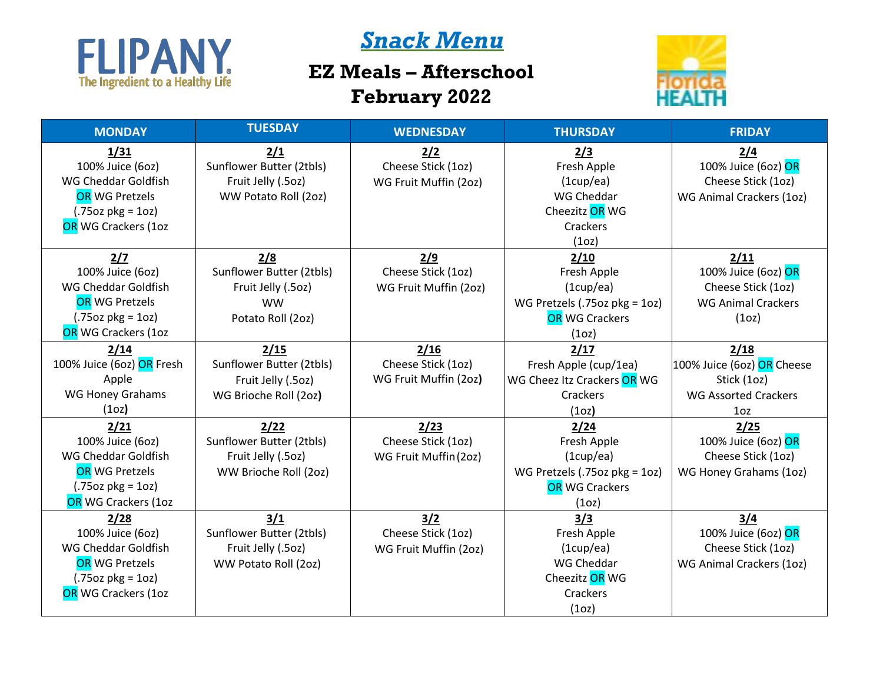

## *Snack Menu*

## **EZ Meals – Afterschool February 2022**



| <b>MONDAY</b>             | <b>TUESDAY</b>           | <b>WEDNESDAY</b>      | <b>THURSDAY</b>               | <b>FRIDAY</b>               |
|---------------------------|--------------------------|-----------------------|-------------------------------|-----------------------------|
| 1/31                      | 2/1                      | 2/2                   | 2/3                           | 2/4                         |
| 100% Juice (6oz)          | Sunflower Butter (2tbls) | Cheese Stick (1oz)    | Fresh Apple                   | 100% Juice (6oz) OR         |
| WG Cheddar Goldfish       | Fruit Jelly (.5oz)       | WG Fruit Muffin (2oz) | (1cup/ea)                     | Cheese Stick (1oz)          |
| <b>OR WG Pretzels</b>     | WW Potato Roll (2oz)     |                       | WG Cheddar                    | WG Animal Crackers (1oz)    |
| $(.75oz pkg = 1oz)$       |                          |                       | Cheezitz OR WG                |                             |
| OR WG Crackers (1oz       |                          |                       | Crackers                      |                             |
|                           |                          |                       | (1 <sub>O</sub> )             |                             |
| 2/7                       | 2/8                      | 2/9                   | 2/10                          | 2/11                        |
| 100% Juice (6oz)          | Sunflower Butter (2tbls) | Cheese Stick (1oz)    | Fresh Apple                   | 100% Juice (6oz) OR         |
| WG Cheddar Goldfish       | Fruit Jelly (.5oz)       | WG Fruit Muffin (2oz) | (1cupp/ea)                    | Cheese Stick (1oz)          |
| <b>OR WG Pretzels</b>     | <b>WW</b>                |                       | WG Pretzels (.75oz pkg = 1oz) | <b>WG Animal Crackers</b>   |
| $(.75oz \, pkg = 1oz)$    | Potato Roll (2oz)        |                       | <b>OR</b> WG Crackers         | (1 <sub>O</sub> )           |
| OR WG Crackers (1oz       |                          |                       | (1 <sub>O</sub> )             |                             |
| 2/14                      | 2/15                     | 2/16                  | 2/17                          | 2/18                        |
| 100% Juice (6oz) OR Fresh | Sunflower Butter (2tbls) | Cheese Stick (1oz)    | Fresh Apple (cup/1ea)         | 100% Juice (6oz) OR Cheese  |
| Apple                     | Fruit Jelly (.5oz)       | WG Fruit Muffin (2oz) | WG Cheez Itz Crackers OR WG   | Stick (1oz)                 |
| <b>WG Honey Grahams</b>   | WG Brioche Roll (2oz)    |                       | Crackers                      | <b>WG Assorted Crackers</b> |
| (1 <sub>oz</sub> )        |                          |                       | (1 <sub>O</sub> )             | 10 <sub>z</sub>             |
| 2/21                      | 2/22                     | 2/23                  | 2/24                          | 2/25                        |
| 100% Juice (6oz)          | Sunflower Butter (2tbls) | Cheese Stick (1oz)    | Fresh Apple                   | 100% Juice (6oz) OR         |
| WG Cheddar Goldfish       | Fruit Jelly (.5oz)       | WG Fruit Muffin (2oz) | (1cupp/ea)                    | Cheese Stick (1oz)          |
| <b>OR WG Pretzels</b>     | WW Brioche Roll (2oz)    |                       | WG Pretzels (.75oz pkg = 1oz) | WG Honey Grahams (1oz)      |
| $(.75oz \, pkg = 1oz)$    |                          |                       | <b>OR WG Crackers</b>         |                             |
| OR WG Crackers (1oz       |                          |                       | (1 <sub>O</sub> )             |                             |
| 2/28                      | $3/1$                    | 3/2                   | 3/3                           | 3/4                         |
| 100% Juice (6oz)          | Sunflower Butter (2tbls) | Cheese Stick (1oz)    | Fresh Apple                   | 100% Juice (6oz) OR         |
| WG Cheddar Goldfish       | Fruit Jelly (.5oz)       | WG Fruit Muffin (2oz) | (1cup/ea)                     | Cheese Stick (1oz)          |
| <b>OR WG Pretzels</b>     | WW Potato Roll (2oz)     |                       | WG Cheddar                    | WG Animal Crackers (1oz)    |
| $(.75oz \, pkg = 1oz)$    |                          |                       | Cheezitz OR WG                |                             |
| OR WG Crackers (1oz       |                          |                       | Crackers                      |                             |
|                           |                          |                       | (1 <sub>O</sub> )             |                             |